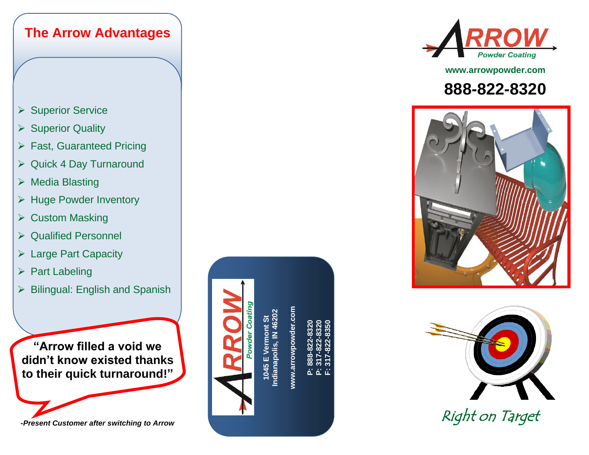





**www.arrowpowder.com**